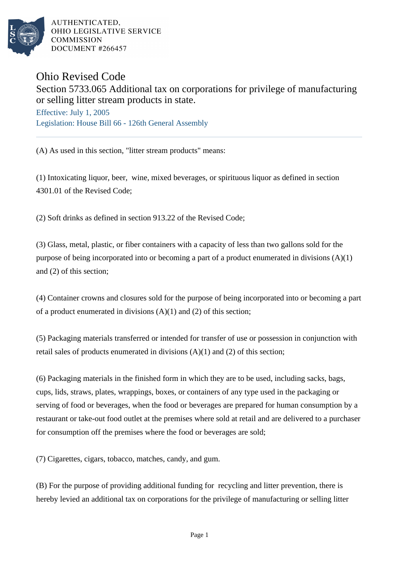

AUTHENTICATED. OHIO LEGISLATIVE SERVICE **COMMISSION** DOCUMENT #266457

## Ohio Revised Code

Section 5733.065 Additional tax on corporations for privilege of manufacturing or selling litter stream products in state.

Effective: July 1, 2005 Legislation: House Bill 66 - 126th General Assembly

(A) As used in this section, "litter stream products" means:

(1) Intoxicating liquor, beer, wine, mixed beverages, or spirituous liquor as defined in section 4301.01 of the Revised Code;

(2) Soft drinks as defined in section 913.22 of the Revised Code;

(3) Glass, metal, plastic, or fiber containers with a capacity of less than two gallons sold for the purpose of being incorporated into or becoming a part of a product enumerated in divisions (A)(1) and (2) of this section;

(4) Container crowns and closures sold for the purpose of being incorporated into or becoming a part of a product enumerated in divisions  $(A)(1)$  and  $(2)$  of this section;

(5) Packaging materials transferred or intended for transfer of use or possession in conjunction with retail sales of products enumerated in divisions  $(A)(1)$  and  $(2)$  of this section;

(6) Packaging materials in the finished form in which they are to be used, including sacks, bags, cups, lids, straws, plates, wrappings, boxes, or containers of any type used in the packaging or serving of food or beverages, when the food or beverages are prepared for human consumption by a restaurant or take-out food outlet at the premises where sold at retail and are delivered to a purchaser for consumption off the premises where the food or beverages are sold;

(7) Cigarettes, cigars, tobacco, matches, candy, and gum.

(B) For the purpose of providing additional funding for recycling and litter prevention, there is hereby levied an additional tax on corporations for the privilege of manufacturing or selling litter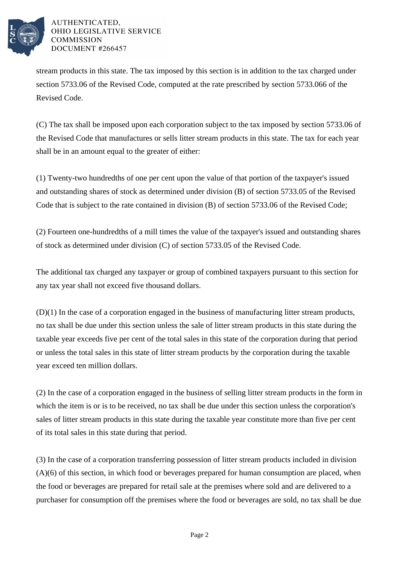

## AUTHENTICATED, OHIO LEGISLATIVE SERVICE **COMMISSION** DOCUMENT #266457

stream products in this state. The tax imposed by this section is in addition to the tax charged under section 5733.06 of the Revised Code, computed at the rate prescribed by section 5733.066 of the Revised Code.

(C) The tax shall be imposed upon each corporation subject to the tax imposed by section 5733.06 of the Revised Code that manufactures or sells litter stream products in this state. The tax for each year shall be in an amount equal to the greater of either:

(1) Twenty-two hundredths of one per cent upon the value of that portion of the taxpayer's issued and outstanding shares of stock as determined under division (B) of section 5733.05 of the Revised Code that is subject to the rate contained in division (B) of section 5733.06 of the Revised Code;

(2) Fourteen one-hundredths of a mill times the value of the taxpayer's issued and outstanding shares of stock as determined under division (C) of section 5733.05 of the Revised Code.

The additional tax charged any taxpayer or group of combined taxpayers pursuant to this section for any tax year shall not exceed five thousand dollars.

(D)(1) In the case of a corporation engaged in the business of manufacturing litter stream products, no tax shall be due under this section unless the sale of litter stream products in this state during the taxable year exceeds five per cent of the total sales in this state of the corporation during that period or unless the total sales in this state of litter stream products by the corporation during the taxable year exceed ten million dollars.

(2) In the case of a corporation engaged in the business of selling litter stream products in the form in which the item is or is to be received, no tax shall be due under this section unless the corporation's sales of litter stream products in this state during the taxable year constitute more than five per cent of its total sales in this state during that period.

(3) In the case of a corporation transferring possession of litter stream products included in division (A)(6) of this section, in which food or beverages prepared for human consumption are placed, when the food or beverages are prepared for retail sale at the premises where sold and are delivered to a purchaser for consumption off the premises where the food or beverages are sold, no tax shall be due